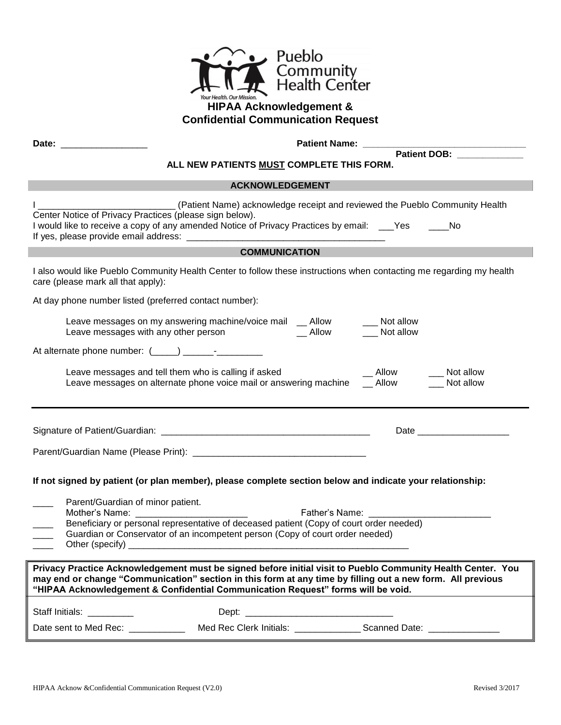

## **HIPAA Acknowledgement & Confidential Communication Request**

**Date:** \_\_\_\_\_\_\_\_\_\_\_\_\_\_\_\_\_ **Patient Name: \_\_\_\_\_\_\_\_\_\_\_\_\_\_\_\_\_\_\_\_\_\_\_\_\_\_\_\_\_\_\_\_**

**Patient DOB: \_\_\_\_\_\_\_\_\_\_\_\_\_**

## **ALL NEW PATIENTS MUST COMPLETE THIS FORM.**

|                                                                                                                                                                                                                                                                                                               | <b>ACKNOWLEDGEMENT</b>                                                                                   |                                 |  |  |
|---------------------------------------------------------------------------------------------------------------------------------------------------------------------------------------------------------------------------------------------------------------------------------------------------------------|----------------------------------------------------------------------------------------------------------|---------------------------------|--|--|
| Center Notice of Privacy Practices (please sign below).                                                                                                                                                                                                                                                       | I would like to receive a copy of any amended Notice of Privacy Practices by email: ____Yes ______No     |                                 |  |  |
|                                                                                                                                                                                                                                                                                                               | <b>COMMUNICATION</b>                                                                                     |                                 |  |  |
| I also would like Pueblo Community Health Center to follow these instructions when contacting me regarding my health<br>care (please mark all that apply):                                                                                                                                                    |                                                                                                          |                                 |  |  |
| At day phone number listed (preferred contact number):                                                                                                                                                                                                                                                        |                                                                                                          |                                 |  |  |
| Leave messages with any other person                                                                                                                                                                                                                                                                          | Leave messages on my answering machine/voice mail _ Allow<br>__ Allow ____ Not allow                     | __ Not allow                    |  |  |
|                                                                                                                                                                                                                                                                                                               |                                                                                                          |                                 |  |  |
| Leave messages and tell them who is calling if asked                                                                                                                                                                                                                                                          | Leave messages on alternate phone voice mail or answering machine __ Allow                               | Allow<br>Not allow<br>Not allow |  |  |
|                                                                                                                                                                                                                                                                                                               |                                                                                                          |                                 |  |  |
| Parent/Guardian of minor patient.<br>Mother's Name:                                                                                                                                                                                                                                                           | If not signed by patient (or plan member), please complete section below and indicate your relationship: |                                 |  |  |
| Father's Name: _________<br>Beneficiary or personal representative of deceased patient (Copy of court order needed)<br>Guardian or Conservator of an incompetent person (Copy of court order needed)                                                                                                          |                                                                                                          |                                 |  |  |
| Privacy Practice Acknowledgement must be signed before initial visit to Pueblo Community Health Center. You<br>may end or change "Communication" section in this form at any time by filling out a new form. All previous<br>"HIPAA Acknowledgement & Confidential Communication Request" forms will be void. |                                                                                                          |                                 |  |  |
| Staff Initials: _________                                                                                                                                                                                                                                                                                     |                                                                                                          |                                 |  |  |
|                                                                                                                                                                                                                                                                                                               | Date sent to Med Rec: Med Rec Clerk Initials: Change Scanned Date: Change Scanned Date:                  |                                 |  |  |